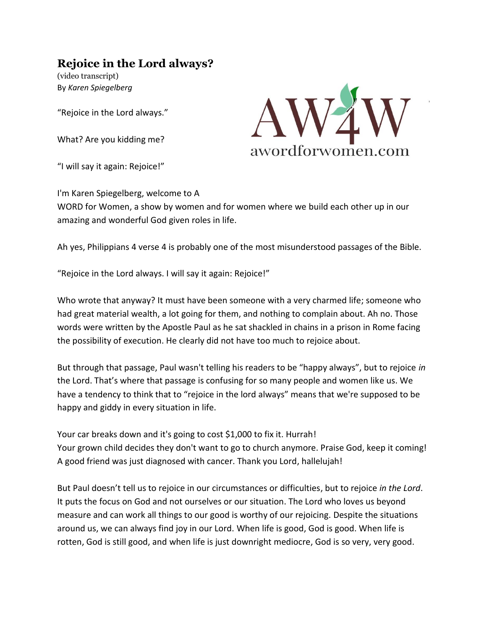# **Rejoice in the Lord always?**

(video transcript) By *Karen Spiegelberg*

"Rejoice in the Lord always."

What? Are you kidding me?

"I will say it again: Rejoice!"



I'm Karen Spiegelberg, welcome to A WORD for Women, a show by women and for women where we build each other up in our amazing and wonderful God given roles in life.

Ah yes, Philippians 4 verse 4 is probably one of the most misunderstood passages of the Bible.

"Rejoice in the Lord always. I will say it again: Rejoice!"

Who wrote that anyway? It must have been someone with a very charmed life; someone who had great material wealth, a lot going for them, and nothing to complain about. Ah no. Those words were written by the Apostle Paul as he sat shackled in chains in a prison in Rome facing the possibility of execution. He clearly did not have too much to rejoice about.

But through that passage, Paul wasn't telling his readers to be "happy always", but to rejoice *in* the Lord. That's where that passage is confusing for so many people and women like us. We have a tendency to think that to "rejoice in the lord always" means that we're supposed to be happy and giddy in every situation in life.

Your car breaks down and it's going to cost \$1,000 to fix it. Hurrah! Your grown child decides they don't want to go to church anymore. Praise God, keep it coming! A good friend was just diagnosed with cancer. Thank you Lord, hallelujah!

But Paul doesn't tell us to rejoice in our circumstances or difficulties, but to rejoice *in the Lord*. It puts the focus on God and not ourselves or our situation. The Lord who loves us beyond measure and can work all things to our good is worthy of our rejoicing. Despite the situations around us, we can always find joy in our Lord. When life is good, God is good. When life is rotten, God is still good, and when life is just downright mediocre, God is so very, very good.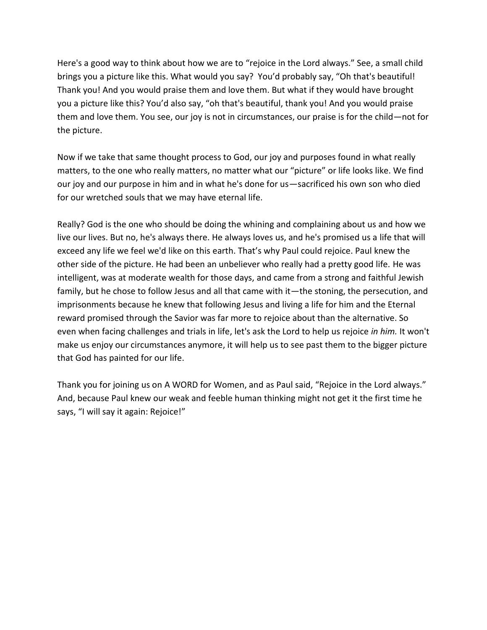Here's a good way to think about how we are to "rejoice in the Lord always." See, a small child brings you a picture like this. What would you say? You'd probably say, "Oh that's beautiful! Thank you! And you would praise them and love them. But what if they would have brought you a picture like this? You'd also say, "oh that's beautiful, thank you! And you would praise them and love them. You see, our joy is not in circumstances, our praise is for the child—not for the picture.

Now if we take that same thought process to God, our joy and purposes found in what really matters, to the one who really matters, no matter what our "picture" or life looks like. We find our joy and our purpose in him and in what he's done for us—sacrificed his own son who died for our wretched souls that we may have eternal life.

Really? God is the one who should be doing the whining and complaining about us and how we live our lives. But no, he's always there. He always loves us, and he's promised us a life that will exceed any life we feel we'd like on this earth. That's why Paul could rejoice. Paul knew the other side of the picture. He had been an unbeliever who really had a pretty good life. He was intelligent, was at moderate wealth for those days, and came from a strong and faithful Jewish family, but he chose to follow Jesus and all that came with it—the stoning, the persecution, and imprisonments because he knew that following Jesus and living a life for him and the Eternal reward promised through the Savior was far more to rejoice about than the alternative. So even when facing challenges and trials in life, let's ask the Lord to help us rejoice *in him.* It won't make us enjoy our circumstances anymore, it will help us to see past them to the bigger picture that God has painted for our life.

Thank you for joining us on A WORD for Women, and as Paul said, "Rejoice in the Lord always." And, because Paul knew our weak and feeble human thinking might not get it the first time he says, "I will say it again: Rejoice!"